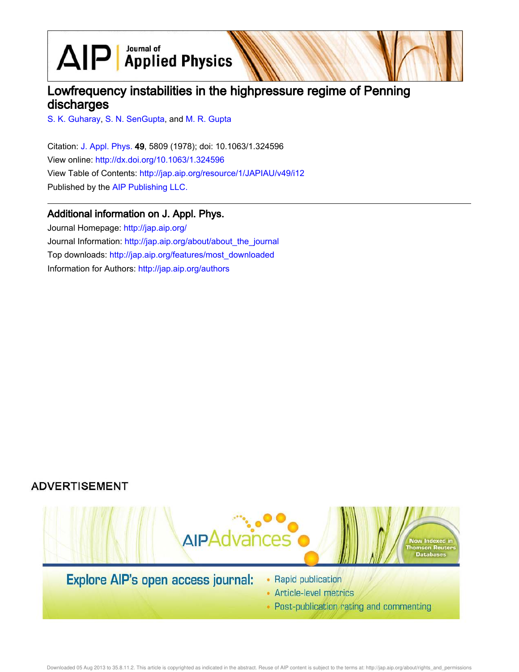$\text{AlP}$  Applied Physics

# Lowfrequency instabilities in the highpressure regime of Penning discharges

S. K. Guharay, S. N. SenGupta, and M. R. Gupta

Citation: J. Appl. Phys. 49, 5809 (1978); doi: 10.1063/1.324596 View online: http://dx.doi.org/10.1063/1.324596 View Table of Contents: http://jap.aip.org/resource/1/JAPIAU/v49/i12 Published by the AIP Publishing LLC.

## Additional information on J. Appl. Phys.

Journal Homepage: http://jap.aip.org/ Journal Information: http://jap.aip.org/about/about\_the\_journal Top downloads: http://jap.aip.org/features/most\_downloaded Information for Authors: http://jap.aip.org/authors

## **ADVERTISEMENT**



• Post-publication rating and commenting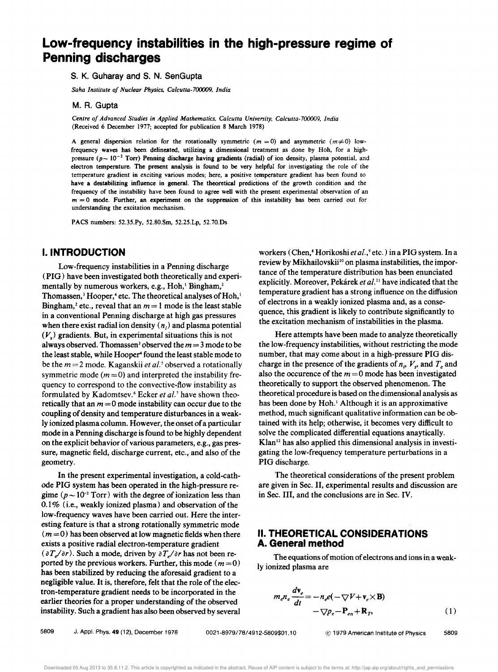# **Low-frequency instabilities in the high-pressure regime of Penning discharges**

S. K. Guharay and S. N. SenGupta

*Saha Institute of Nuclear Physics. Calcutta-700009. India* 

M. R. Gupta

*Centre of Advanced Studies in Applied Mathematics. Calcutta University. Calcutta-700009. India*  (Received 6 December 1977; accepted for publication 8 March 1978)

A general dispersion relation for the rotationally symmetric ( $m = 0$ ) and asymmetric ( $m \neq 0$ ) lowfrequency waves has been delineated. utilizing a dimensional treatment as done by Hoh. for a highpressure  $(p \sim 10^{-2}$  Torr) Penning discharge having gradients (radial) of ion density, plasma potential, and electron temperature. The present analysis is found to be very helpful for investigating the role of the temperature gradient in exciting various modes; here. a positive temperature gradient has been found to have a destabilizing influence in general. The theoretical predictions of the growth condition and the frequency of the instability have been found to agree well with the present experimental observation of an  $m = 0$  mode. Further, an experiment on the suppression of this instability has been carried out for understanding the excitation mechanism.

PACS numbers: 52.35.Py, 52.80.Sm, 52.25.Lp, 52.70.Ds

## **I. INTRODUCTION**

Low-frequency instabilities in a Penning discharge (PIG) have been investigated both theoretically and experimentally by numerous workers, e.g., Hoh,<sup>1</sup> Bingham,<sup>2</sup> Thomassen,<sup>3</sup> Hooper,<sup>4</sup> etc. The theoretical analyses of Hoh,<sup>1</sup> Bingham,<sup>2</sup> etc., reveal that an  $m = 1$  mode is the least stable in a conventional Penning discharge at high gas pressures when there exist radial ion density  $(n_i)$  and plasma potential *(V<sup>s</sup> )* gradients. But, in experimental situations this is not always observed. Thomassen<sup>3</sup> observed the  $m = 3$  mode to be the least stable, while Hooper<sup>4</sup> found the least stable mode to be the *m* = 2 mode. Kaganskii *et al. <sup>5</sup>*observed a rotationally symmetric mode  $(m=0)$  and interpreted the instability frequency to correspond to the convective-flow instability as formulated by Kadomtsev.<sup>6</sup> Ecker *et al.*<sup>7</sup> have shown theoretically that an  $m = 0$  mode instability can occur due to the coupling of density and temperature disturbances in a weakly ionized plasma column. However, the onset of a particular mode in a Penning discharge is found to be highly dependent on the explicit behavior of various parameters, e.g., gas pressure, magnetic field, discharge current, etc., and also of the geometry.

In the present experimental investigation, a cold-cathode PIG system has been operated in the high-pressure regime  $(p \sim 10^{-2} \text{ Torr})$  with the degree of ionization less than 0.1 % (i.e., weakly ionized plasma) and observation of the low-frequency waves have been carried out. Here the interesting feature is that a strong rotationally symmetric mode  $(m=0)$  has been observed at low magnetic fields when there exists a positive radial electron-temperature gradient  $\left(\frac{\partial T}{\partial r}\right)$ . Such a mode, driven by  $\frac{\partial T}{\partial r}$  has not been reported by the previous workers. Further, this mode  $(m=0)$ has been stabilized by reducing the aforesaid gradient to a negligible value. It is, therefore, felt that the role of the electron-temperature gradient needs to be incorporated in the earlier theories for a proper understanding of the observed instability. Such a gradient has also been observed by several workers (Chen,<sup>8</sup> Horikoshi et al.,<sup>9</sup> etc.) in a PIG system. In a review by Mikhailovskii<sup>10</sup> on plasma instabilities, the importance of the temperature distribution has been enunciated explicitly. Moreover, Pekárek et al.<sup>11</sup> have indicated that the temperature gradient has a strong influence on the diffusion of electrons in a weakly ionized plasma and, as a consequence, this gradient is likely to contribute significantly to the excitation mechanism of instabilities in the plasma.

Here attempts have been made to analyze theoretically the low-frequency instabilities, without restricting the mode number, that may come about in a high-pressure PIG discharge in the presence of the gradients of  $n_i$ ,  $V_s$ , and  $T_e$  and also the occurence of the  $m = 0$  mode has been investigated theoretically to support the observed phenomenon. The theoretical procedure is based on the dimensional analysis as has been done by Hoh.<sup>1</sup> Although it is an approximative method, much significant qualitative information can be obtained with its help; otherwise, it becomes very difficult to solve the complicated differential equations anaytically.  $Klan<sup>12</sup>$  has also applied this dimensional analysis in investigating the low-frequency temperature perturbations in a PIG discharge.

The theoretical considerations of the present problem are given in Sec. II, experimental results and discussion are in Sec. III, and the conclusions are in Sec. IV.

### **II. THEORETICAL CONSIDERATIONS A. General method**

The equations of motion of electrons and ions in a weakly ionized plasma are

$$
m_e n_e \frac{d\mathbf{v}_e}{dt} = -n_e e(-\nabla V + \mathbf{v}_e \times \mathbf{B})
$$
  
-
$$
\nabla p_e - \mathbf{P}_{en} + \mathbf{R}_P
$$
 (1)

5809 J. Appl. Phys. 49 (12), December 1978 0021-8979/78/4912-5809\$01.10 © 1979 American Institute of Physics 5809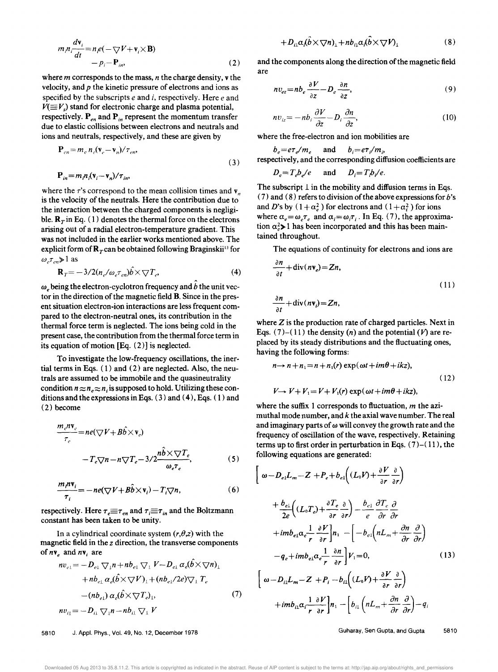$$
m_{i}n_{i} \frac{d\mathbf{v}_{i}}{dt} = n_{i}e(-\nabla V + \mathbf{v}_{i} \times \mathbf{B}) - p_{i} - \mathbf{P}_{in},
$$
\n(2)

where *m* corresponds to the mass, *n* the charge density, v the velocity, and *p* the kinetic pressure of electrons and ions as specified by the subscripts *e* and i, respectively. Here *e* and  $V(\equiv V_s)$  stand for electronic charge and plasma potential, respectively.  $\mathbf{P}_{en}$  and  $\mathbf{P}_{in}$  represent the momentum transfer due to elastic collisions between electrons and neutrals and ions and neutrals, respectively, and these are given by

$$
\mathbf{P}_{en} = m_e n_e (\mathbf{v}_e - \mathbf{v}_n) / \tau_{en},
$$
  

$$
\mathbf{P}_{in} = m_i n_i (\mathbf{v}_i - \mathbf{v}_n) / \tau_{in},
$$
 (3)

where the  $\tau$ 's correspond to the mean collision times and  $v_n$ is the velocity of the neutrals. Here the contribution due to the interaction between the charged components is negligible.  $\mathbf{R}_{\text{T}}$  in Eq. (1) denotes the thermal force on the electrons arising out of a radial electron-temperature gradient. This was not included in the earlier works mentioned above. The explicit form of  $\mathbf{R}_{\tau}$  can be obtained following Braginskii<sup>13</sup> for  $\omega_c \tau_{cn} \geq 1$  as

$$
\mathbf{R}_T = -\frac{3}{2}(n_e/\omega_e \tau_{en})\hat{b} \times \nabla T_e, \tag{4}
$$

 $\omega$ <sub>c</sub> being the electron-cyclotron frequency and *b* the unit vector in the direction of the magnetic field B. Since in the present situation electron-ion interactions are less frequent compared to the electron-neutral ones, its contribution in the thermal force term is neglected. The ions being cold in the present case, the contribution from the thermal force term in its equation of motion [Eq. (2)] is neglected.

To investigate the low-frequency oscillations, the inertial terms in Eqs. (1) and (2) are neglected. Also, the neutrals are assumed to be immobile and the quasineutrality condition  $n \approx n_e \approx n_i$  is supposed to hold. Utilizing these conditions and the expressions in Eqs.  $(3)$  and  $(4)$ , Eqs.  $(1)$  and (2) become

$$
\frac{m_e n v_e}{\tau_e} = ne(\nabla V + B \hat{b} \times v_e)
$$
  
-  $T_e \nabla n - n \nabla T_e - 3/2 \frac{n \hat{b} \times \nabla T_e}{\omega_e \tau_e},$  (5)

$$
\frac{m_i n v_i}{\tau_i} = -ne(\nabla V + B\hat{b} \times v_i) - T_i \nabla n,\tag{6}
$$

respectively. Here  $\tau_e \equiv \tau_{en}$  and  $\tau_i \equiv \tau_{in}$  and the Boltzmann constant has been taken to be unity.

In a cylindrical coordinate system  $(r, \theta, z)$  with the magnetic field in the z direction, the transverse components of  $n\mathbf{v}_e$  and  $n\mathbf{v}_i$  are

$$
nv_{e1} = -D_{e1} \nabla_{1} n + nb_{e1} \nabla_{1} V - D_{e1} \alpha_{e} (b \times \nabla n)_{1}
$$
  
+ 
$$
nb_{e1} \alpha_{e} (b \times \nabla V)_{1} + (nb_{e1}/2e) \nabla_{1} T_{e}
$$
  
-
$$
(nb_{e1}) \alpha_{e} (b \times \nabla T_{e})_{1},
$$
  

$$
nv_{i1} = -D_{i1} \nabla_{1} n - nb_{i1} \nabla_{1} V
$$

$$
(7)
$$

5810 J. Appl. Phys., Vol. 49, No. 12, December 1978

$$
+D_{i1}\alpha_i(\hat{b}\times\nabla n)_1+n b_{i1}\alpha_i(\hat{b}\times\nabla V)_1\tag{8}
$$

and the components along the direction of the magnetic field are

$$
nv_{ez} = nb_e \frac{\partial V}{\partial z} - D_e \frac{\partial n}{\partial z},\tag{9}
$$

$$
nv_{iz} = -nb_i \frac{\partial V}{\partial z} - D_i \frac{\partial n}{\partial z},\tag{10}
$$

where the free-electron and ion mobilities are

 $b_e = e\tau_e/m_e$  and  $b_i = e\tau_i/m_i$ respectively, and the corresponding diffusion coefficients are

$$
D_e = T_e b_e / e \quad \text{and} \quad D_i = T_i b_i / e.
$$

The subscript  $\perp$  in the mobility and diffusion terms in Eqs. (7) and (8) refers to division of the above expressions for  $b$ 's and *D*'s by  $(1 + \alpha_s^2)$  for electrons and  $(1 + \alpha_s^2)$  for ions where  $\alpha_e = \omega_e \tau_e$  and  $\alpha_i = \omega_i \tau_i$ . In Eq. (7), the approximation  $\alpha_{\epsilon}^2$  1 has been incorporated and this has been maintained throughout.

The equations of continuity for electrons and ions are

$$
\frac{\partial n}{\partial t} + \text{div}(n\mathbf{v}_e) = Zn,
$$
  

$$
\frac{\partial n}{\partial t} + \text{div}(n\mathbf{v}_i) = Zn,
$$
 (11)

where  $Z$  is the production rate of charged particles. Next in Eqs.  $(7)-(11)$  the density *(n)* and the potential *(V)* are replaced by its steady distributions and the fluctuating ones, having the following forms:

$$
n \to n + n_1 = n + n_1(r) \exp(\omega t + im\theta + ikz),
$$
  
(12)  

$$
V \to V + V_1 = V + V_1(r) \exp(\omega t + im\theta + ikz),
$$

where the suffix 1 corresponds to fluctuation, *m* the azimuthal mode number, and *k* the axial wave number. The real and imaginary parts of  $\omega$  will convey the growth rate and the frequency of oscillation of the wave, respectively. Retaining terms up to first order in perturbation in Eqs.  $(7)-(11)$ , the following equations are generated:

$$
\left[\omega - D_{e1}L_m - Z + P_e + b_{e1}\left((L_0V) + \frac{\partial V}{\partial r} \frac{\partial}{\partial r}\right)\right]
$$
  
+ 
$$
\frac{b_{e1}}{2e}\left((L_0T_e) + \frac{\partial T_e}{\partial r} \frac{\partial}{\partial r}\right) - \frac{b_{e1}}{e} \frac{\partial T_e}{\partial r} \frac{\partial}{\partial r}
$$
  
+ 
$$
im b_{e1} \alpha_e \frac{1}{r} \frac{\partial V}{\partial r} \bigg| n_1 - \bigg[-b_{e1}\bigg(nL_m + \frac{\partial n}{\partial r} \frac{\partial}{\partial r}\bigg)
$$
  
-
$$
q_e + im b_{e1} \alpha_e \frac{1}{r} \frac{\partial n}{\partial r} \bigg] V_1 = 0,
$$
 (13)  

$$
\bigg[\omega - D_{i1}L_m - Z + P_i - b_{i1}\bigg((L_0V) + \frac{\partial V}{\partial r} \frac{\partial}{\partial r}\bigg)
$$

$$
+imb_{i1}\alpha_i\frac{1}{r}\frac{\partial V}{\partial r}\bigg|n_1-\bigg[b_{i1}\bigg(nL_m+\frac{\partial n}{\partial r}\frac{\partial}{\partial r}\bigg)-q_i
$$

Guharay, Sen Gupta, and Gupta 5810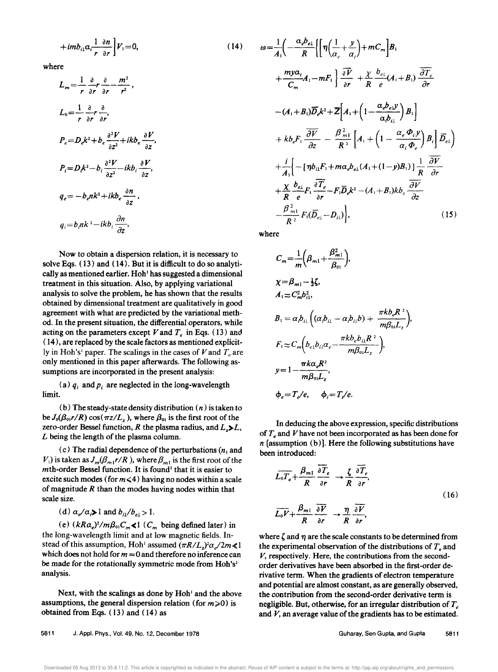$$
+imb_{i1}\alpha_i\frac{1}{r}\frac{\partial n}{\partial r}\bigg]V_1=0,
$$
\t(14)

where

$$
L_{m} = \frac{1}{r} \frac{\partial}{\partial r} \frac{\partial}{\partial r} - \frac{m^{2}}{r^{2}},
$$
  
\n
$$
L_{0} = \frac{1}{r} \frac{\partial}{\partial r} \frac{\partial}{\partial r},
$$
  
\n
$$
P_{e} = D_{e} k^{2} + b_{e} \frac{\partial^{2} V}{\partial z^{2}} + ikb_{e} \frac{\partial V}{\partial z},
$$
  
\n
$$
P_{i} = D_{i} k^{2} - b_{i} \frac{\partial^{2} V}{\partial z^{2}} - ikb_{i} \frac{\partial V}{\partial z},
$$
  
\n
$$
q_{e} = -b_{e} n k^{2} + ikb_{e} \frac{\partial n}{\partial z},
$$
  
\n
$$
q_{i} = b_{i} n k^{2} - ikb_{i} \frac{\partial n}{\partial z},
$$

Now to obtain a dispersion relation, it is necessary to solve Eqs. (13) and (14). But it is difficult to do so analytically as mentioned earlier. Hoh' has suggested a dimensional treatment in this situation. Also, by applying variational analysis to solve the problem, he has shown that the results obtained by dimensional treatment are qualitatively in good agreement with what are predicted by the variational method. In the present situation, the differential operators, while acting on the parameters except  $V$  and  $T_e$  in Eqs. (13) and ( 14), are replaced by the scale factors as mentioned explicitly in Hoh's<sup>1</sup> paper. The scalings in the cases of  $V$  and  $T_e$  are only mentioned in this paper afterwards. The following assumptions are incorporated in the present analysis:

(a)  $q_i$  and  $p_i$  are neglected in the long-wavelength limit.

(b) The steady-state density distribution *(n)* is taken to be  $J_0(\beta_{01}r/R) \cos(\pi z/L_z)$ , where  $\beta_{01}$  is the first root of the zero-order Bessel function,  $R$  the plasma radius, and  $L_z L$ , *L* being the length of the plasma column.

(c) The radial dependence of the perturbations  $(n_1 \text{ and } n_2 \text{)}$  $V_1$ ) is taken as  $J_m(\beta_{m1}r/R)$ , where  $\beta_{m1}$  is the first root of the *mth-order Bessel function. It is found<sup>1</sup> that it is easier to* excite such modes (for  $m \le 4$ ) having no nodes within a scale of magnitude *R* than the modes having nodes within that scale size.

(d)  $\alpha_e / \alpha_i > 1$  and  $b_{i} / b_{e} > 1$ .

(e)  $(kRa_e)^2/m\beta_{0}C_m \leq 1$  ( $C_m$  being defined later) in the long-wavelength limit and at low magnetic fields. Instead of this assumption, Hoh<sup>1</sup> assumed  $(\pi R/L_z)^2 \alpha_e / 2m \ll 1$ which does not hold for  $m = 0$  and therefore no inference can be made for the rotationally symmetric mode from Hoh's<sup>1</sup> analysis.

Next, with the scalings as done by Hoh' and the above assumptions, the general dispersion relation (for  $m \ge 0$ ) is obtained from Eqs. (13) and (14) as

$$
\omega = \frac{1}{A_1} \Biggl( -\frac{\alpha_e b_{e1}}{R} \Biggl\{ \Biggl[ \eta \Bigl( \frac{1}{\alpha_e} + \frac{y}{\alpha_i} \Bigr) + mC_m \Biggr] B_1 + \frac{my\alpha_i}{C_m} A_1 - mF_1 \Biggr\} \frac{\partial \overline{V}}{\partial r} + \frac{\chi}{R} \frac{b_{e1}}{e} (A_1 + B_1) \frac{\partial \overline{T}_e}{\partial r} - (A_1 + B_1) \overline{D}_e k^2 + \overline{Z} \Biggl[ A_1 + \Bigl( 1 - \frac{\alpha_e b_{e1} y}{\alpha_b_{11}} \Bigr) B_1 \Biggr] + kb_e F_1 \frac{\partial \overline{V}}{\partial z} - \frac{\beta_{m1}^2}{R^2} \Biggl[ A_1 + \Bigl( 1 - \frac{\alpha_e \Phi_i y}{\alpha_i \Phi_e} \Bigr) B_i \Biggr] \overline{D}_{e1} \Biggr) + \frac{i}{A_1} \Biggl[ -\Bigl[ \eta b_{11} F_1 + m \alpha_e b_{e1} (A_1 + (1 - y) B_1) \Bigr] \frac{1}{R} \frac{\partial \overline{V}}{\partial r} + \frac{\chi}{R} \frac{b_{e1}}{e} F_1 \frac{\partial \overline{T}_e}{\partial r} - F_1 \overline{D}_e k^2 - (A_1 + B_1) kb_e \frac{\partial \overline{V}}{\partial z} - \frac{\beta_{m1}^2}{R^2} F_1 (\overline{D}_{e1} - D_{11}) \Biggr], \tag{15}
$$

where

$$
C_m = \frac{1}{m} \left( \beta_{m1} + \frac{\beta_{m1}^2}{\beta_{01}} \right),
$$
  
\n
$$
\chi = \beta_{m1} - \frac{1}{2} \zeta,
$$
  
\n
$$
A_1 \approx C_m^2 b_{11}^2,
$$
  
\n
$$
B_1 = \alpha_i b_{i1} \left( (\alpha_i b_{i1} - \alpha_i b_{i1} b) + \frac{\pi k b_e R^2}{m \beta_{01} L_z} \right),
$$
  
\n
$$
F_1 \approx C_m \left( b_{e1} b_{i1} \alpha_e - \frac{\pi k b_e b_{i1} R^2}{m \beta_{01} L_z} \right),
$$
  
\n
$$
y = 1 - \frac{\pi k \alpha_e R^2}{m \beta_{01} L_z},
$$
  
\n
$$
\phi_e = T_e / e, \quad \phi_i = T_e / e.
$$

In deducing the above expression, specific distributions of *Te* and Vhave not been incorporated as has been done for *n* [assumption (b)]. Here the following substitutions have been introduced:

$$
\overline{L_oT_e} + \frac{\beta_{m1}}{R} \frac{\overline{\partial T_e}}{\partial r} \rightarrow \frac{\zeta}{R} \frac{\overline{\partial T_e}}{\partial r},
$$
  

$$
\overline{L_oV} + \frac{\beta_{m1}}{R} \frac{\overline{\partial V}}{\partial r} \rightarrow \frac{\eta}{R} \frac{\overline{\partial V}}{\partial r},
$$
 (16)

where  $\zeta$  and  $\eta$  are the scale constants to be determined from the experimental observation of the distributions of  $T<sub>e</sub>$  and *V,* respectively. Here, the contributions from the secondorder derivatives have been absorbed in the first-order derivative term. When the gradients of electron temperature and potential are almost constant, as are generally observed, the contribution from the second-order derivative term is negligible. But, otherwise, for an irregular distribution of  $T<sub>e</sub>$ and *V,* an average value of the gradients has to be estimated.

5811 J. Appl. Phys .• Vol. 49. No. 12. December 1978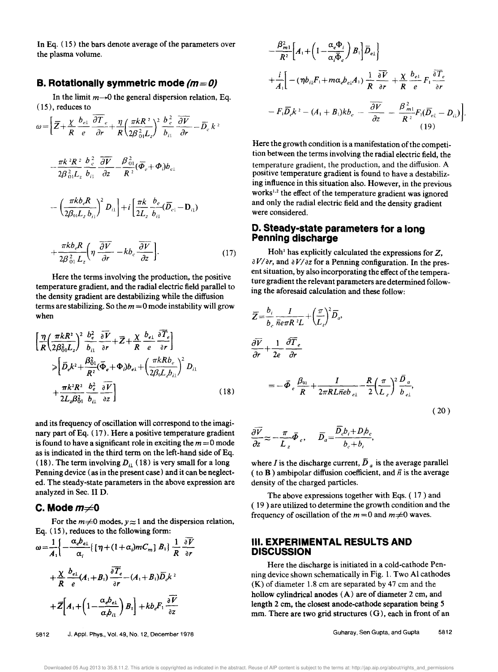In Eq. (15) the bars denote average of the parameters over the plasma volume.

## **B. Rotationally symmetric mode** *(m=Oj*

In the limit  $m\rightarrow 0$  the general dispersion relation, Eq.  $(15)$ , reduces to

(15), reduces to  
\n
$$
\omega = \left[ \overline{Z} + \frac{\chi}{R} \frac{b_{e1}}{e} \frac{\overline{\partial T}}{\partial r} + \frac{\eta}{R} \left( \frac{\pi k R^2}{2 \beta_{01}^2 L_z} \right)^2 \frac{b_e^2}{b_{i1}} \frac{\overline{\partial V}}{\partial r} - \overline{D}_e k^2 \right]
$$
\n
$$
- \frac{\pi k^2 R^2}{2 \beta_{01}^2 L_z} \frac{b_e^2}{b_{i1}} \frac{\overline{\partial V}}{\partial z} - \frac{\beta_{01}^2}{R^2} (\overline{\Phi}_e + \Phi_i) b_{e1}
$$
\n
$$
- \left( \frac{\pi k b_e R}{2 \beta_{01} L_z b_{i1}} \right)^2 D_{i1} \right] + i \left[ \frac{\pi k}{2 L_z} \frac{b_e}{b_{i1}} (\overline{D}_{e1} - D_{i1}) + \frac{\pi k b_e R}{2 \beta_{01}^2 L_z} \left( \overline{\eta} \frac{\overline{\partial V}}{\partial r} - k b_e \frac{\overline{\partial V}}{\partial z} \right) \right].
$$
\n(17)

Here the terms involving the production, the positive temperature gradient, and the radial electric field parallel to the density gradient are destabilizing while the diffusion terms are stabilizing. So the  $m = 0$  mode instability will grow when

$$
\left[\frac{\eta}{R}\left(\frac{\pi k R^2}{2\beta_{01}^2 L_z}\right)^2 \frac{b_e^2}{b_{ii}} \frac{\partial \overline{V}}{\partial r} + \overline{Z} + \frac{\chi}{R} \frac{b_{e1}}{e} \frac{\partial \overline{T}_e}{\partial r}\right] \n\geqslant \left[\overline{D}_e k^2 + \frac{\beta_{01}^2}{R^2} (\overline{\Phi}_e + \Phi_i) b_{e1} + \left(\frac{\pi k R b_e}{2\beta_o L_z b_{ii}}\right)^2 D_{ii} + \frac{\pi k^2 R^2}{2L_z \beta_{01}^2} \frac{b_e^2}{b_{ii}} \frac{\partial \overline{V}}{\partial z}\right]
$$
\n(18)

and its frequency of oscillation will correspond to the imaginary part of Eq. ( 17). Here a positive temperature gradient is found to have a significant role in exciting the  $m = 0$  mode as is indicated in the third term on the left-hand side of Eq. (18). The term involving  $D_{i1}$  (18) is very small for a long Penning device (as in the present case) and it can be neglected. The steady-state parameters in the above expression are analyzed in Sec. II D.

#### **C.Modem¥O**

For the  $m\neq 0$  modes,  $y \approx 1$  and the dispersion relation, Eq. (15), reduces to the following form:

$$
\omega = \frac{1}{A_1} \Biggl\{ -\frac{\alpha_e b_{e\perp}}{\alpha_i} \Biggl\{ \left[ \eta + (1 + \alpha_i) m C_m \right] B_1 \Biggr\} \frac{1}{R} \frac{\partial \overline{V}}{\partial r} + \frac{\chi}{R} \frac{b_{e\perp}}{e} (A_1 + B_1) \frac{\partial \overline{T}_e}{\partial r} - (A_1 + B_1) \overline{D}_e k^2 + \overline{Z} \Biggl[ A_1 + \left( 1 - \frac{\alpha_e b_{e\perp}}{\alpha_b \mu} \right) B_1 \Biggr] + k b_e F_1 \frac{\partial \overline{V}}{\partial z}
$$

5812 J. Appl. Phys .• Vol. 49. No. 12. December 1978

$$
-\frac{\beta_{m1}^{2}}{R^{2}}\bigg[A_{1}+\bigg(1-\frac{\alpha_{e}\Phi_{i}}{\alpha_{i}\overline{\Phi}_{e}}\bigg)B_{1}\bigg]\overline{D}_{e1}\bigg] +\frac{i}{A_{1}}\bigg[-(\eta b_{i1}F_{1}+m\alpha_{e}b_{e1}A_{1})\frac{1}{R}\frac{\partial \overline{V}}{\partial r}+\frac{\chi}{R}\frac{b_{e1}}{e}F_{1}\frac{\partial \overline{T}_{e}}{\partial r} -F_{1}\overline{D}_{e}k^{2}-(A_{1}+B_{1})kb_{e}-\frac{\partial \overline{V}}{\partial z}-\frac{\beta_{m1}^{2}}{R^{2}}F_{1}(\overline{D}_{e1}-D_{i1})\bigg].
$$
\n(19)

Here the growth condition is a manifestation of the competition between the terms involving the radial electric field, the temperature gradient, the production, and the diffusion. A positive temperature gradient is found to have a destabilizing influence in this situation also. However, in the previous works<sup>1,2</sup> the effect of the temperature gradient was ignored and only the radial electric field and the density gradient were considered.

## **D. Steady-state parameters for a long Penning discharge**

Hoh<sup>1</sup> has explicitly calculated the expressions for  $Z$ ,  $\partial V/\partial r$ , and  $\partial V/\partial z$  for a Penning configuration. In the present situation, by also incorporating the effect of the temperature gradient the relevant parameters are determined following the aforesaid calculation and these follow:

$$
\overline{Z} = \frac{b_i}{b_c} \frac{I}{\overline{n}e\pi R^2 L} + \left(\frac{\pi}{L_z}\right)^2 \overline{D}_a,
$$
\n
$$
\frac{\partial \overline{V}}{\partial r} + \frac{1}{2e} \frac{\partial \overline{T}_e}{\partial r}
$$
\n
$$
= -\overline{\Phi}_e \frac{\beta_{01}}{R} + \frac{I}{2\pi R L \overline{n} e b_{e1}} - \frac{R}{2} \left(\frac{\pi}{L_z}\right)^2 \frac{\overline{D}_a}{b_{e1}},
$$
\n(20)

$$
\frac{\partial \overline{V}}{\partial z} \approx -\frac{\pi}{L_z} \overline{\Phi}_e, \qquad \overline{D}_a = \frac{\overline{D}_e b_i + D_i b_e}{b_e + b_i},
$$

where *I* is the discharge current,  $\overline{D}_a$  is the average parallel ( to **B**) ambipolar diffusion coefficient, and  $\bar{n}$  is the average density of the charged particles.

The above expressions together with Eqs. ( 17 ) and ( 19 ) are utilized to determine the growth condition and the frequency of oscillation of the  $m = 0$  and  $m \neq 0$  waves.

### **III. EXPERIMENTAL RESULTS AND DISCUSSION**

Here the discharge is initiated in a cold-cathode Penning device shown schematically in Fig. 1. Two Al cathodes (K) of diameter 1.8 cm are separated by 47 cm and the hollow cylindrical anodes (A) are of diameter 2 cm, and length 2 cm, the closest anode-cathode separation being 5 mm. There are two grid structures (G), each in front of an

Guharay. Sen Gupta. and Gupta 5812

Downloaded 05 Aug 2013 to 35.8.11.2. This article is copyrighted as indicated in the abstract. Reuse of AIP content is subject to the terms at: http://jap.aip.org/about/rights\_and\_permissions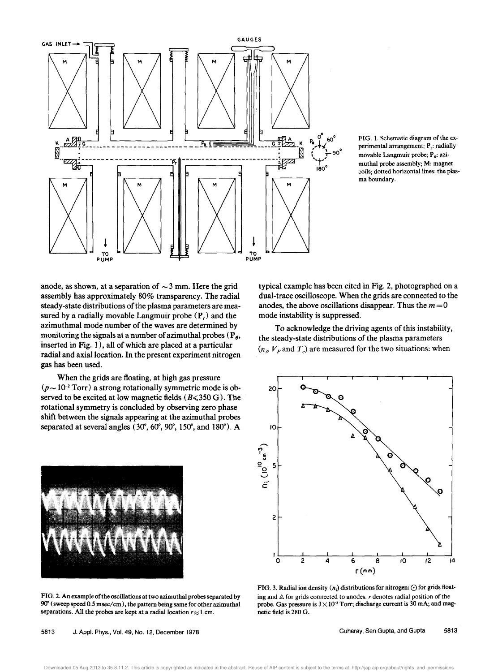

FIG. 1. Schematic diagram of the experimental arrangement; P<sub>r</sub>: radially movable Langmuir probe; P<sub>e</sub>: azimuthal probe assembly; M: magnet coils; dotted horizontal lines: the plasma boundary.

anode, as shown, at a separation of  $\sim$  3 mm. Here the grid assembly has approximately 80% transparency. The radial steady-state distributions of the plasma parameters are measured by a radially movable Langmuir probe  $(P_r)$  and the azimuthmal mode number of the waves are determined by monitoring the signals at a number of azimuthal probes  $(P_{\theta}$ , inserted in Fig. 1), all of which are placed at a particular radial and axial location. **In** the present experiment nitrogen gas has been used.

When the grids are floating, at high gas pressure  $(p \sim 10^{-2}$  Torr) a strong rotationally symmetric mode is observed to be excited at low magnetic fields  $(B \le 350 \text{ G})$ . The rotational symmetry is concluded by observing zero phase shift between the signals appearing at the azimuthal probes separated at several angles (30°, 60°, 90°, 150°, and 180°). A

FIG. 2. An example of the oscillations at two azimuthal probes separated by  $90^{\circ}$  (sweep speed 0.5 msec/cm), the pattern being same for other azimuthal separations. All the probes are kept at a radial location  $r \approx 1$  cm.

5813 J. Appl. Phys., Vol. 49, No. 12, December 1978

typical example has been cited in Fig. 2, photographed on a dual-trace oscilloscope. When the grids are connected to the anodes, the above oscillations disappear. Thus the  $m = 0$ mode instability is suppressed.

To acknowledge the driving agents of this instability, the steady-state distributions of the plasma parameters  $(n_i, V_F \text{ and } T_e)$  are measured for the two situations: when



FIG. 3. Radial ion density  $(n_i)$  distributions for nitrogen:  $\odot$  for grids floating and  $\Delta$  for grids connected to anodes. *r* denotes radial position of the probe. Gas pressure is  $3 \times 10^{-2}$  Torr; discharge current is 30 mA; and magnetic field is 280 G.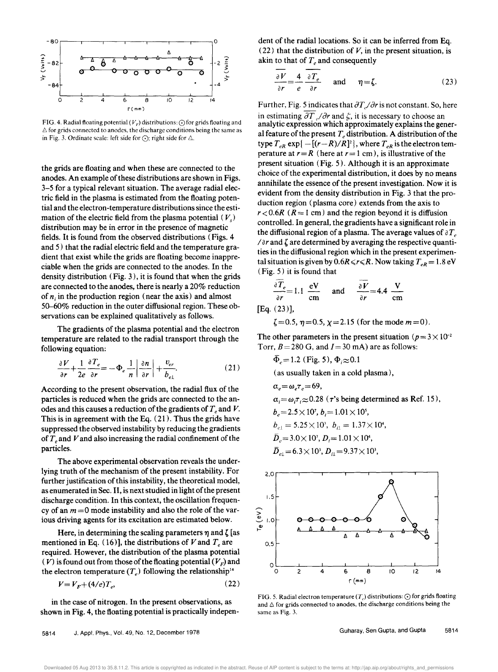

FIG. 4. Radial floating potential  $(V_F)$  distributions:  $\odot$  for grids floating and  $\triangle$  for grids connected to anodes, the discharge conditions being the same as in Fig. 3. Ordinate scale: left side for  $\bigcirc$ ; right side for  $\triangle$ .

the grids are floating and when these are connected to the anodes. An example of these distributions are shown in Figs. 3-5 for a typical relevant situation. The average radial electric field in the plasma is estimated from the floating potential and the electron-temperature distributions since the estimation of the electric field from the plasma potential *(V<sup>s</sup> )*  distribution may be in error in the presence of magnetic fields. It is found from the observed distributions (Figs. 4 and 5) that the radial electric field and the temperature gradient that exist while the grids are floating become inappreciable when the grids are connected to the anodes. In the density distribution (Fig. 3), it is found that when the grids are connected to the anodes, there is nearly a 20% reduction of *ni* in the production region (near the axis) and almost 50-60% reduction in the outer diffusional region. These observations can be explained qualitatively as follows.

The gradients of the plasma potential and the electron temperature are related to the radial transport through the following equation:

$$
\frac{\partial V}{\partial r} + \frac{1}{2e} \frac{\partial T_e}{\partial r} = -\Phi_e \frac{1}{n} \left| \frac{\partial n}{\partial r} \right| + \frac{v_{er}}{b_{e1}}.
$$
 (21)

According to the present observation, the radial flux of the particles is reduced when the grids are connected to the anodes and this causes a reduction of the gradients of  $T_e$  and  $V$ . This is in agreement with the Eq. (21). Thus the grids have suppressed the observed instability by reducing the gradients of  $T_e$  and V and also increasing the radial confinement of the particles.

The above experimental observation reveals the underlying truth of the mechanism of the present instability. For further justification of this instability, the theoretical model, as enumerated in Sec. II, is next studied in light of the present discharge condition. In this context, the oscillation frequency of an  $m = 0$  mode instability and also the role of the various driving agents for its excitation are estimated below.

Here, in determining the scaling parameters  $\eta$  and  $\zeta$  [as mentioned in Eq. (16)], the distributions of *V* and  $T_e$  are required. However, the distribution of the plasma potential ( $V$ ) is found out from those of the floating potential  $(V_F)$  and the electron temperature  $(T_e)$  following the relationship<sup>14</sup>

$$
V = V_F + (4/e)T_e, \tag{22}
$$

in the case of nitrogen. In the present observations, as shown in Fig. 4, the floating potential is practically independent of the radial locations. So it can be inferred from Eq. (22) that the distribution of  $V$ , in the present situation, is akin to that of  $T_e$  and consequently

$$
\frac{\partial V}{\partial r} = \frac{4}{e} \frac{\partial T_e}{\partial r} \quad \text{and} \quad \eta = \zeta. \tag{23}
$$

Further, Fig. 5 indicates that  $\partial T_{\nu}/\partial r$  is not constant. So, here in estimating  $\partial T$  / $\partial r$  and  $\zeta$ , it is necessary to choose an analytic expression which approximately explains the general feature of the present  $T_e$  distribution. A distribution of the type  $T_{eR}$  exp $\{-[(r-R)/R]^2\}$ , where  $T_{eR}$  is the electron temperature at  $r=R$  (here at  $r=1$  cm), is illustrative of the present situation (Fig. 5). Although it is an approximate choice of the experimental distribution, it does by no means annihilate the essence of the present investigation. Now it is evident from the density distribution in Fig. 3 that the production region (plasma core) extends from the axis to  $r < 0.6R$  ( $R = 1$  cm) and the region beyond it is diffusion controlled. In general, the gradients have a significant role in the diffusional region of a plasma. The average values of  $\partial T_e$  $\sqrt{a r}$  and  $\zeta$  are determined by averaging the respective quantities in the diffusional region which in the present experimental situation is given by  $0.6R \le r \le R$ . Now taking  $T_{eR} = 1.8 \text{ eV}$ (Fig. 5) it is found that

$$
\frac{\partial T_e}{\partial r} = 1.1 \frac{eV}{cm} \quad \text{and} \quad \frac{\partial V}{\partial r} = 4.4 \frac{V}{cm}
$$

[Eq. (23)],

 $\zeta$  = 0.5,  $\eta$  = 0.5,  $\chi$  = 2.15 (for the mode *m* = 0).

The other parameters in the present situation  $(p=3\times10^{-2}$ Torr,  $B = 280$  G, and  $I = 30$  mA) are as follows:

$$
\Phi_e = 1.2 \text{ (Fig. 5), } \Phi_i \approx 0.1
$$
\n(as usually taken in a cold plasma),\n
$$
\alpha_e = \omega_e \tau_e = 69,
$$
\n
$$
\alpha_i = \omega_i \tau_i \approx 0.28 \text{ (7's being determined as Ref. 15),}
$$
\n
$$
b_e = 2.5 \times 10^7, b_i = 1.01 \times 10^5,
$$
\n
$$
b_{e1} = 5.25 \times 10^3, b_{i1} = 1.37 \times 10^4,
$$
\n
$$
\bar{D}_e = 3.0 \times 10^7, D_i = 1.01 \times 10^4,
$$
\n
$$
\bar{D}_{e1} = 6.3 \times 10^3, D_{i1} = 9.37 \times 10^3,
$$



FIG. 5. Radial electron temperature  $(T<sub>a</sub>)$  distributions:  $\odot$  for grids floating and  $\Delta$  for grids connected to anodes, the discharge conditions being the same as Fig. 3.